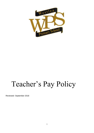

# Teacher's Pay Policy

Reviewed- September 2018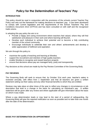# **Policy for the Determination of Teachers' Pay**

# **INTRODUCTION**

This policy should be read in conjunction with the provisions of the schools current Teacher Pay Policy and sets out the framework for making decisions on teachers' pay. It has been developed to comply with current legislation and the requirements of the School Teachers' Pay and Conditions Document 2013 (STPCD) and has been consulted on with staff and the recognised trade unions.

In adopting this pay policy the aim is to:

- Provide a happy and caring environment where teachers feel valued, where they will find satisfaction and pleasure in their work and where learning will flourish.
- Develop each individual to achieve their potential and to become a fully contributing member of the school community.
- Encourage individuals to celebrate their own and others' achievements and develop a wider appreciation of fulfilment and aspiration.

We aim through this policy to:

- maximise the quality of teaching and learning at Westlea.
- support the recruitment and retention of high quality teachers
- enable Westlea to recognise and reward teachers properly
- ensure that decisions about pay are managed fairly, justly and transparently.

Pay decisions at this school are made by the Pay Review Committee of the Governing Body.

#### **PAY REVIEWS**

The Governing Body will seek to ensure that, by October 31st each year, teacher's salary is reviewed annually, with effect from 1 September and that all teachers are given a written statement setting out their salary and any other financial benefits to which they are entitled.

Reviews may take place at other times of the year to reflect any changes in circumstances or job description that lead to a change in the basis for calculating an individual's pay. A written statement will be given after any review and where applicable will give information about the basis on which it was made.

Where a pay determination leads or may lead to the start of a period of safeguarding, the Governing Body will give the required notification as soon as possible and no later than one month after the date of the determination.

#### **BASIC PAY DETERMINATION ON APPOINTMENT**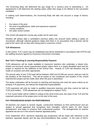The Governing Body will determine the pay range for a vacancy prior to advertising it. On appointment it will determine the starting salary within that range to be offered to the successful candidate.

In making such determinations, the Governing Body will take into account a range of factors, including:

- the nature of the post
- the level of qualifications, skills and experience required
- market conditions
- the wider school context

This school will adopt the County pay scales set for each year.

Westlea will always take a candidate's previous salary into account when setting a salary on recruitment, although national guidance states that *there is no assumption that a teacher will be paid at the same rate as they were being paid in a previous school*.

#### **TLR Allowances**

In this school, TLR 2 posts may be established and will be distributed in accordance with STPCD and the staffing structure agreed by Governors Personnel Committee.

#### **New TLR 3 Teaching & Learning Responsibility Payment**

TLR3 allowances will be made available to classroom teachers who undertake a clearly timelimited non-recurrent school improvement project where there is a clearly identified need and the project is required for the fulfilment of the School Plan. Awards of TLR3 will therefore only be made on occasion and when appropriate.

The annual value of any TLR3 paid will be between £500 and £2,500 per annum, paid pro-rata for the duration of the fixed-term. This will be based on the complexity and duration of the school improvement project and be made clear when the post is advertised.

The duties undertaken will be focused on teaching and learning and meet the same criteria as for existing TLR payments, but without the leadership responsibilities.

TLR3 payments will only be made to qualified classroom teachers and they cannot be held by TLR2 post holders. TLR3 allowances are not designed to replace TLR's.

A TLR 3 post holder will be notified in writing of the remit of the post, the value of the TLR and the expected outcomes of the project prior to the start of the work.

#### **PAY PROGRESSION BASED ON PERFORMANCE**

All teachers can expect to receive regular, constructive feedback on their performance and are subject to annual appraisal that recognises their strengths, informs plans for their future development, and helps to enhance their professional practice. The arrangements for teacher appraisal are set out in the school's teacher appraisal policy.

From September 2014, decisions regarding pay progression will be made with reference to the teachers' appraisal reports and the pay recommendations they contain. In the case of NQTs,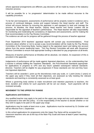whose appraisal arrangements are different, pay decisions will be made by means of the statutory induction process.

It will be possible for a 'no progression' determination to be made without recourse to the capability procedure.

To be fair and transparent, assessments of performance will be properly rooted in evidence and a process of continued dialogue, review and support between the Head teacher and staff. The school will ensure fairness by ensuring the appraiser is well equipped to lead and manage the process. At Westlea, the Head teacher, Deputy Head teacher and Senior Leaders will be responsible for the appraisal of teacher's performance. The Head teacher will take responsibility for monitoring and moderating the consistency of objectives and assessments, and for making the final recommendation to the Pay Review Committee.

The evidence we will use for progress will be gathered through the process of teacher appraisal

From September 2014 teachers' appraisal reports will contain pay recommendations. Final decisions about whether or not to accept a pay recommendation will be made by the Pay Review Committee of the Governing Body, having regard to the appraisal report and taking into account advice from the senior leadership team. The Pay Review Committee will work with Governors' Finance Committee to ensure that appropriate funding is allocated for pay progression at all levels.

Measures of teacher performance at Westlea will be absolute, not relative. An expansion of this is provided in the appendix.

Judgements of performance will be made against Appraisal objectives, on the understanding that a teacher is already fulfilling the Teachers' Standards , the Post-threshold Standards appropriate for applications to progress to UPS and any future updated subsequent national standards directive. Teachers will be eligible for pay progression if those standards are met and they have met Appraisal objectives.

Teachers will be awarded 1 point up the discretionary main pay scale, or 1 point (every 2 years) on the upper pay spine if they meet all their objectives, are assessed as fully meeting the relevant standards and teaching is consistently assessed as at least good.

Where a governing body wishes to make recruitment and retention payments to teachers, the level, duration and criteria for such payments will be set out clearly. Such payments will be reviewed annually.

#### **MOVEMENT TO THE UPPER PAY RANGE**

#### **Applications and Evidence**

Any qualified teacher may apply to be paid on the upper pay range and any such application must be assessed in line with this policy. It is the responsibility of the teacher to decide whether or not they wish to apply to be paid on the upper pay range.

Applications may be made at least once a year. Applications must be received by 31 October and will be effective from 1 September.

In this school applications for progression onto the Upper Pay Spine will be accepted from classroom teachers who are at the top of the Main Pay Scale and have at least 4 years' teaching experience.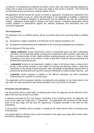If a teacher is simultaneously employed at another school, they may submit separate applications if they wish to apply to be paid on the upper pay range in that school or schools. This school will not be bound by any pay decision made by another school.

All applications should include the results of reviews or appraisals, including from September 2014 any recommendation on pay (or, where that information is not applicable or available, a statement and summary of evidence designed to demonstrate that the applicant has met the assessment criteria). Applicants should apply in writing to the Head teacher. Completed applications should contain evidence of performance against the relevant standards and information from two successful Appraisals.

# **The Assessment**

An application from a qualified teacher will be successful where the Governing Body is satisfied that:

- (a) the teacher is highly competent in all elements of the relevant standards; and
- (b) the teacher's achievements and contribution to the school are substantial and sustained.

For the purposes of this pay policy;

- **'highly competent'** means performance which is consistently good and often outstanding, and which can provide high quality coaching and mentoring to other teachers, give advice to them and demonstrate to them highly effective teaching practice and how to make a wider contribution to the work of the school, in order to help them meet the relevant standards and develop their teaching practice.
- **'substantial'** means of real importance, validity or value to the school; plays a critical role in the life of the school; provides a role model for teaching and learning; makes a distinctive contribution to the raising of pupil standards; takes advantage of appropriate opportunities for professional development and uses the outcomes effectively to improve pupils' learning, and
- **'sustained'** means progress in relation to the relevant standards has been maintained continuously over a period of 2 school years.

The application will be assessed robustly, transparently and equitably by the Head teacher who will make the initial assessment and recommendation to the Pay Review Committee.

#### **Processes and procedures**

The assessment will be made within 10 working days when the applicant will be informed of the date of the next Pay Review Committee.

If deemed successful by the Pay Review Committee of the Governing Body, all applicants will move to the upper pay range from 1<sup>st</sup> September. All applications will commence at the lowest point of the pay range and will have the opportunity to progress annually in line with the new Regulations.

If unsuccessful, feedback will be provided, in writing by the Head teacher within 10 working days of the decision.

Any appeal against a decision not to move the teacher to the upper pay range will be heard under the School's Appeals process.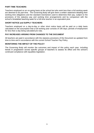#### **PART-TIME TEACHERS**

Teachers employed on an on-going basis at the school but who work less than a full working week are deemed to be part-time. The Governing Body will give them a written statement detailing their working time obligations and the standard mechanism used to determine their pay, subject to the provisions of the statutory pay and working time arrangements and by comparison with the school's timetabled teaching week for a full-time teacher in an equivalent post.

#### **SHORT NOTICE and SUPPLY TEACHERS**

Teachers employed on a day-to-day or other short notice basis will be paid on a daily basis calculated on the assumption that a full working year consists of 195 days; periods of employment for less than a day being calculated pro-rata.

# **PAY INCREASES ARISING FROM CHANGES TO THE DOCUMENT**

All teachers are paid in accordance with the statutory provisions of the Document as updated from time to time and in accordance with the current School Teacher Pay Policy.

# **MONITORING THE IMPACT OF THE POLICY**

The Governing Body will monitor the outcomes and impact of this policy each year, including trends in progression across specific groups of teachers to assess its effect and the school's continued compliance with equalities legislation.